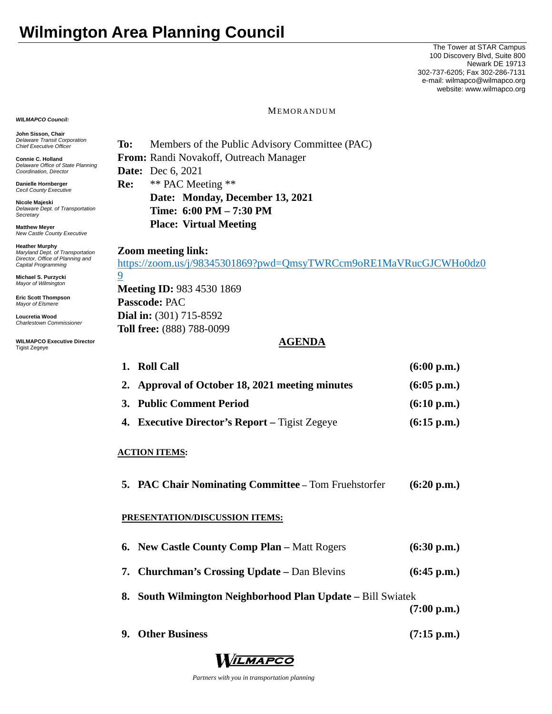# **Wilmington Area Planning Council**

The Tower at STAR Campus 100 Discovery Blvd, Suite 800 Newark DE 19713 302-737-6205; Fax 302-286-7131 e-mail: wilmapco@wilmapco.org website: www.wilmapco.org

*WILMAPCO Council:*

**John Sisson, Chair**  *Delaware Transit Corporation Chief Executive Officer*

**Connie C. Holland**  *Delaware Office of State Planning Coordination, Director*

**Danielle Hornberger** *Cecil County Executive* 

**Nicole Majeski**  *Delaware Dept. of Transportation Secretary*

**Matthew Meyer**  *New Castle County Executive* 

**Heather Murphy**  *Maryland Dept. of Transportation Director, Office of Planning and Capital Programming* 

**Michael S. Purzycki**  *Mayor of Wilmington*

**Eric Scott Thompson**  *Mayor of Elsmere* 

**Loucretia Wood**  *Charlestown Commissioner* 

**WILMAPCO Executive Director**  Tigist Zegeye

MEMORANDUM

**To:** Members of the Public Advisory Committee (PAC) **From:** Randi Novakoff, Outreach Manager **Date:** Dec 6, 2021 **Re:** \*\* PAC Meeting \*\* **Date: Monday, December 13, 2021 Time: 6:00 PM – 7:30 PM Place: Virtual Meeting** 

# **Zoom meeting link:**

9

https://zoom.us/j/98345301869?pwd=QmsyTWRCcm9oRE1MaVRucGJCWHo0dz0

**Meeting ID:** 983 4530 1869 **Passcode:** PAC **Dial in:** (301) 715-8592 **Toll free:** (888) 788-0099

# **AGENDA**

| 1. Roll Call                                          | (6:00 p.m.)           |
|-------------------------------------------------------|-----------------------|
| 2. Approval of October 18, 2021 meeting minutes       | $(6:05 \text{ p.m.})$ |
| 3. Public Comment Period                              | (6:10 p.m.)           |
| <b>4. Executive Director's Report</b> – Tigist Zegeye | $(6:15 \text{ p.m.})$ |

#### **ACTION ITEMS:**

**5. PAC Chair Nominating Committee –** Tom Fruehstorfer **(6:20 p.m.)** 

#### **PRESENTATION/DISCUSSION ITEMS:**

| <b>6. New Castle County Comp Plan – Matt Rogers</b>         | (6:30 p.m.)           |
|-------------------------------------------------------------|-----------------------|
| <b>7. Churchman's Crossing Update – Dan Blevins</b>         | $(6:45 \text{ p.m.})$ |
| 8. South Wilmington Neighborhood Plan Update – Bill Swiatek | $(7:00 \text{ p.m.})$ |
| 9. Other Business                                           | $(7:15 \text{ p.m.})$ |



 *Partners with you in transportation planning*